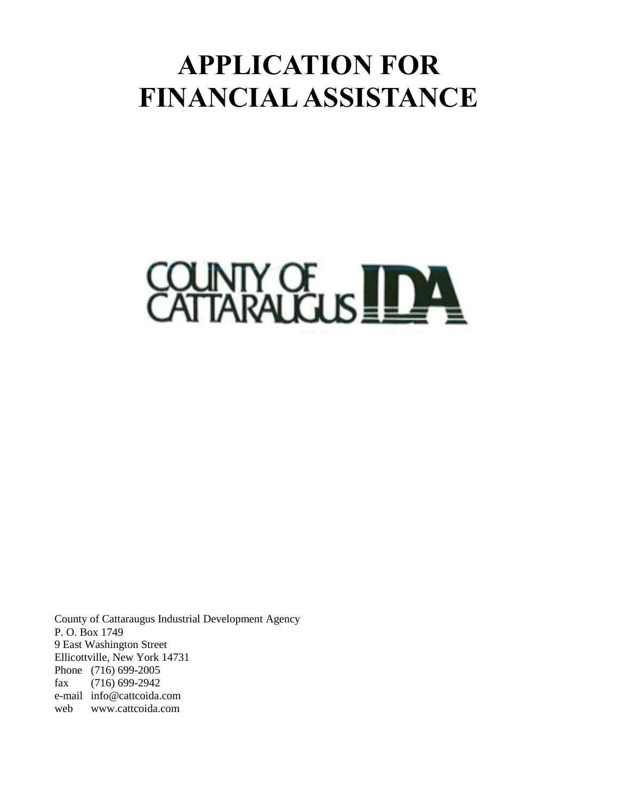# **APPLICATION FOR FINANCIAL ASSISTANCE**



County of Cattaraugus Industrial Development Agency P. O. Box 1749 9 East Washington Street Ellicottville, New York 14731 Phone (716) 699-2005 fax (716) 699-2942 e-mail info@cattcoida.com web www.cattcoida.com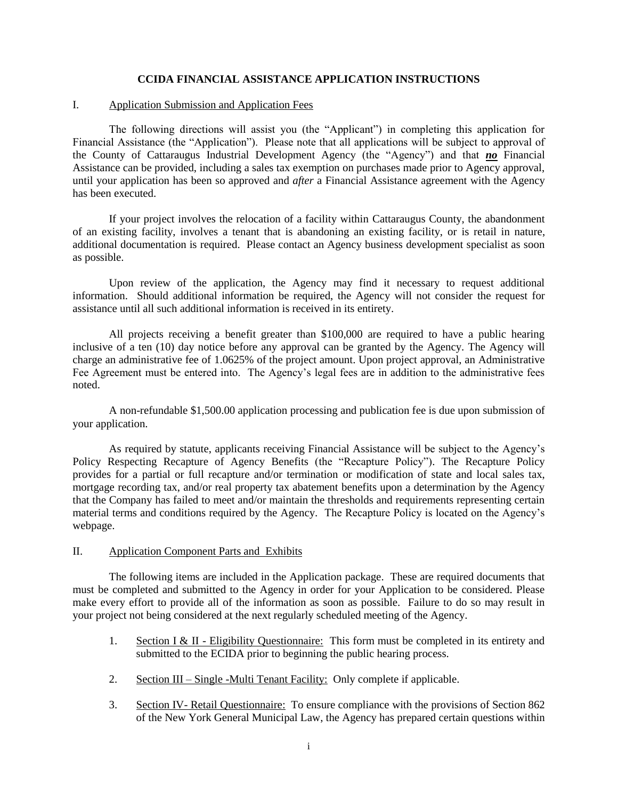#### **CCIDA FINANCIAL ASSISTANCE APPLICATION INSTRUCTIONS**

#### I. Application Submission and Application Fees

The following directions will assist you (the "Applicant") in completing this application for Financial Assistance (the "Application"). Please note that all applications will be subject to approval of the County of Cattaraugus Industrial Development Agency (the "Agency") and that *no* Financial Assistance can be provided, including a sales tax exemption on purchases made prior to Agency approval, until your application has been so approved and *after* a Financial Assistance agreement with the Agency has been executed.

If your project involves the relocation of a facility within Cattaraugus County, the abandonment of an existing facility, involves a tenant that is abandoning an existing facility, or is retail in nature, additional documentation is required. Please contact an Agency business development specialist as soon as possible.

Upon review of the application, the Agency may find it necessary to request additional information. Should additional information be required, the Agency will not consider the request for assistance until all such additional information is received in its entirety.

All projects receiving a benefit greater than \$100,000 are required to have a public hearing inclusive of a ten (10) day notice before any approval can be granted by the Agency. The Agency will charge an administrative fee of 1.0625% of the project amount. Upon project approval, an Administrative Fee Agreement must be entered into. The Agency's legal fees are in addition to the administrative fees noted.

A non-refundable \$1,500.00 application processing and publication fee is due upon submission of your application.

As required by statute, applicants receiving Financial Assistance will be subject to the Agency's Policy Respecting Recapture of Agency Benefits (the "Recapture Policy"). The Recapture Policy provides for a partial or full recapture and/or termination or modification of state and local sales tax, mortgage recording tax, and/or real property tax abatement benefits upon a determination by the Agency that the Company has failed to meet and/or maintain the thresholds and requirements representing certain material terms and conditions required by the Agency. The Recapture Policy is located on the Agency's webpage.

#### II. Application Component Parts and Exhibits

The following items are included in the Application package. These are required documents that must be completed and submitted to the Agency in order for your Application to be considered. Please make every effort to provide all of the information as soon as possible. Failure to do so may result in your project not being considered at the next regularly scheduled meeting of the Agency.

- 1. Section I & II Eligibility Questionnaire: This form must be completed in its entirety and submitted to the ECIDA prior to beginning the public hearing process.
- 2. Section III Single -Multi Tenant Facility: Only complete if applicable.
- 3. Section IV- Retail Questionnaire: To ensure compliance with the provisions of Section 862 of the New York General Municipal Law, the Agency has prepared certain questions within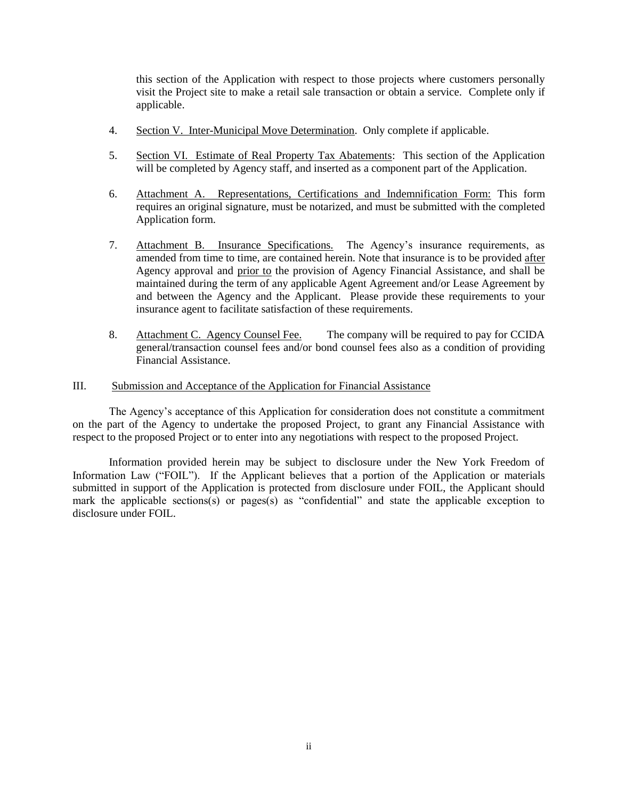this section of the Application with respect to those projects where customers personally visit the Project site to make a retail sale transaction or obtain a service. Complete only if applicable.

- 4. Section V. Inter-Municipal Move Determination. Only complete if applicable.
- 5. Section VI. Estimate of Real Property Tax Abatements: This section of the Application will be completed by Agency staff, and inserted as a component part of the Application.
- 6. Attachment A. Representations, Certifications and Indemnification Form: This form requires an original signature, must be notarized, and must be submitted with the completed Application form.
- 7. Attachment B. Insurance Specifications. The Agency's insurance requirements, as amended from time to time, are contained herein. Note that insurance is to be provided after Agency approval and prior to the provision of Agency Financial Assistance, and shall be maintained during the term of any applicable Agent Agreement and/or Lease Agreement by and between the Agency and the Applicant. Please provide these requirements to your insurance agent to facilitate satisfaction of these requirements.
- 8. Attachment C. Agency Counsel Fee. The company will be required to pay for CCIDA general/transaction counsel fees and/or bond counsel fees also as a condition of providing Financial Assistance.

#### III. Submission and Acceptance of the Application for Financial Assistance

The Agency's acceptance of this Application for consideration does not constitute a commitment on the part of the Agency to undertake the proposed Project, to grant any Financial Assistance with respect to the proposed Project or to enter into any negotiations with respect to the proposed Project.

Information provided herein may be subject to disclosure under the New York Freedom of Information Law ("FOIL"). If the Applicant believes that a portion of the Application or materials submitted in support of the Application is protected from disclosure under FOIL, the Applicant should mark the applicable sections(s) or pages(s) as "confidential" and state the applicable exception to disclosure under FOIL.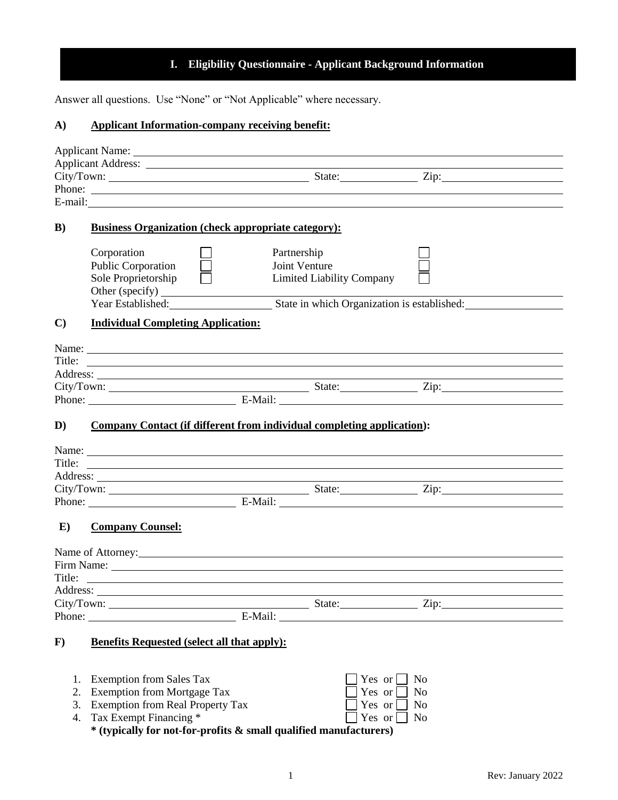# **I. Eligibility Questionnaire - Applicant Background Information**

Answer all questions. Use "None" or "Not Applicable" where necessary.

# **A) Applicant Information-company receiving benefit:**

|              | Applicant Name:                                                        |             |                                  |                          |  |
|--------------|------------------------------------------------------------------------|-------------|----------------------------------|--------------------------|--|
|              |                                                                        |             |                                  |                          |  |
|              |                                                                        |             |                                  |                          |  |
|              |                                                                        |             |                                  |                          |  |
|              |                                                                        |             |                                  |                          |  |
| $\bf{B}$     | <b>Business Organization (check appropriate category):</b>             |             |                                  |                          |  |
|              | Corporation                                                            | Partnership |                                  |                          |  |
|              | <b>Public Corporation</b>                                              |             | Joint Venture                    |                          |  |
|              | Sole Proprietorship                                                    |             | <b>Limited Liability Company</b> |                          |  |
|              | Other (specify)                                                        |             |                                  |                          |  |
|              | Year Established: State in which Organization is established:          |             |                                  |                          |  |
| $\mathbf{C}$ | <b>Individual Completing Application:</b>                              |             |                                  |                          |  |
|              |                                                                        |             |                                  |                          |  |
|              |                                                                        |             |                                  |                          |  |
|              |                                                                        |             |                                  |                          |  |
|              |                                                                        |             |                                  |                          |  |
|              |                                                                        |             |                                  |                          |  |
|              |                                                                        |             |                                  |                          |  |
| D)           | Company Contact (if different from individual completing application): |             |                                  |                          |  |
|              |                                                                        |             |                                  |                          |  |
|              |                                                                        |             |                                  |                          |  |
|              |                                                                        |             |                                  |                          |  |
|              |                                                                        |             |                                  |                          |  |
|              |                                                                        |             |                                  |                          |  |
|              | Phone: E-Mail: E-Mail:                                                 |             |                                  |                          |  |
| $\bf{E}$     | <b>Company Counsel:</b>                                                |             |                                  |                          |  |
|              |                                                                        |             |                                  |                          |  |
|              |                                                                        |             |                                  |                          |  |
|              |                                                                        |             |                                  |                          |  |
|              |                                                                        |             |                                  |                          |  |
|              |                                                                        |             |                                  |                          |  |
|              |                                                                        |             |                                  | E-Mail:                  |  |
|              |                                                                        |             |                                  |                          |  |
| $\bf{F})$    | <b>Benefits Requested (select all that apply):</b>                     |             |                                  |                          |  |
|              |                                                                        |             |                                  |                          |  |
| 1.           | <b>Exemption from Sales Tax</b>                                        |             |                                  | N <sub>o</sub><br>Yes or |  |
| 2.           | <b>Exemption from Mortgage Tax</b>                                     |             |                                  | Yes or<br>N <sub>0</sub> |  |
| 3.           | <b>Exemption from Real Property Tax</b>                                |             |                                  | Yes or<br>N <sub>o</sub> |  |
| 4.           | Tax Exempt Financing *                                                 |             |                                  | Yes or<br>N <sub>o</sub> |  |
|              | * (typically for not-for-profits & small qualified manufacturers)      |             |                                  |                          |  |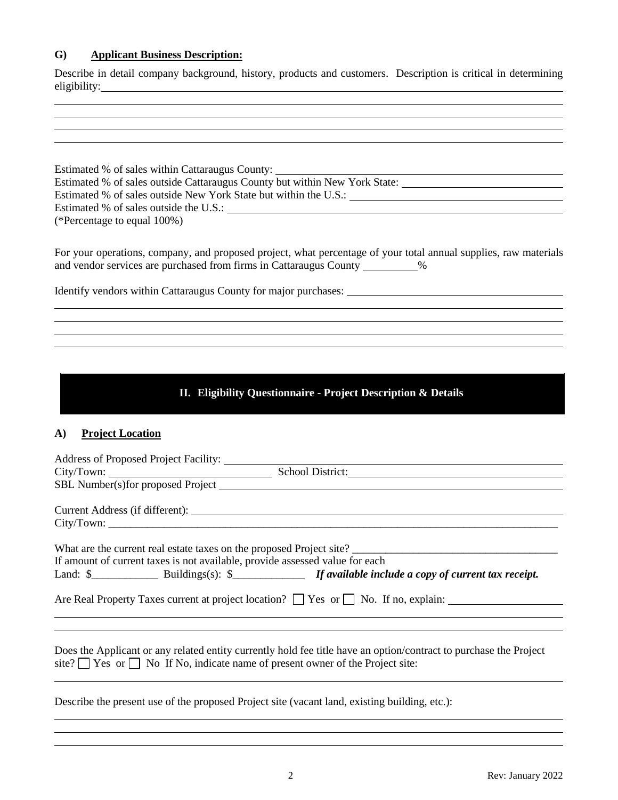# **G) Applicant Business Description:**

Describe in detail company background, history, products and customers. Description is critical in determining eligibility:

| Estimated % of sales within Cattaraugus County: ________________________________<br>Estimated % of sales outside Cattaraugus County but within New York State: _________________________           |
|----------------------------------------------------------------------------------------------------------------------------------------------------------------------------------------------------|
|                                                                                                                                                                                                    |
|                                                                                                                                                                                                    |
| (*Percentage to equal 100%)                                                                                                                                                                        |
| For your operations, company, and proposed project, what percentage of your total annual supplies, raw materials<br>and vendor services are purchased from firms in Cattaraugus County __________% |
|                                                                                                                                                                                                    |
|                                                                                                                                                                                                    |
|                                                                                                                                                                                                    |
|                                                                                                                                                                                                    |
| II. Eligibility Questionnaire - Project Description & Details                                                                                                                                      |

# **A) Project Location**

| If amount of current taxes is not available, provide assessed value for each             |                                                                                                                   |
|------------------------------------------------------------------------------------------|-------------------------------------------------------------------------------------------------------------------|
|                                                                                          |                                                                                                                   |
|                                                                                          | Are Real Property Taxes current at project location? $\Box$ Yes or $\Box$ No. If no, explain:                     |
| site? $\Box$ Yes or $\Box$ No If No, indicate name of present owner of the Project site: | Does the Applicant or any related entity currently hold fee title have an option/contract to purchase the Project |
|                                                                                          | Describe the present use of the proposed Project site (vacant land, existing building, etc.):                     |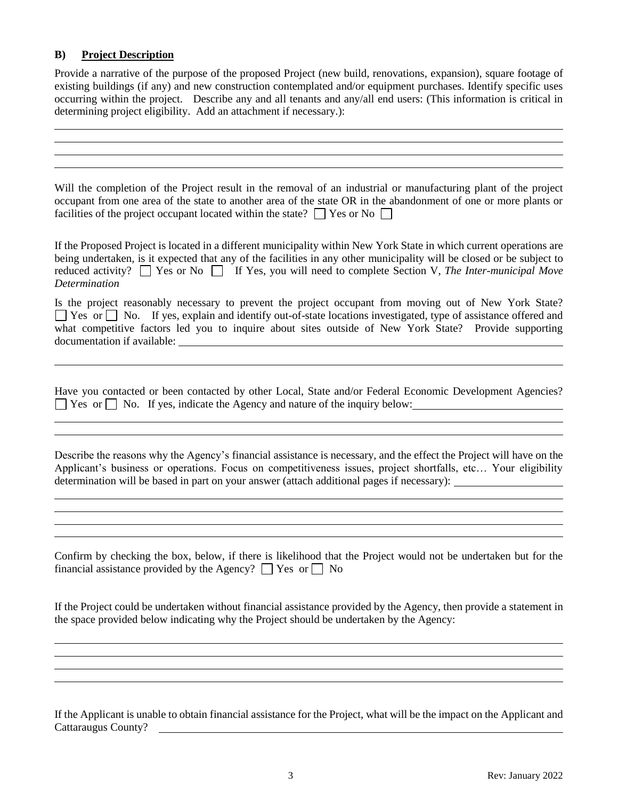## **B) Project Description**

Provide a narrative of the purpose of the proposed Project (new build, renovations, expansion), square footage of existing buildings (if any) and new construction contemplated and/or equipment purchases. Identify specific uses occurring within the project. Describe any and all tenants and any/all end users: (This information is critical in determining project eligibility. Add an attachment if necessary.):

Will the completion of the Project result in the removal of an industrial or manufacturing plant of the project occupant from one area of the state to another area of the state OR in the abandonment of one or more plants or facilities of the project occupant located within the state?  $\Box$  Yes or No  $\Box$ 

If the Proposed Project is located in a different municipality within New York State in which current operations are being undertaken, is it expected that any of the facilities in any other municipality will be closed or be subject to reduced activity?  $\Box$  Yes or No  $\Box$  If Yes, you will need to complete Section V, *The Inter-municipal Move Determination*

Is the project reasonably necessary to prevent the project occupant from moving out of New York State? ■ Yes or ■ No. If yes, explain and identify out-of-state locations investigated, type of assistance offered and what competitive factors led you to inquire about sites outside of New York State? Provide supporting documentation if available:

Have you contacted or been contacted by other Local, State and/or Federal Economic Development Agencies? ■ Yes or ■ No. If yes, indicate the Agency and nature of the inquiry below:

Describe the reasons why the Agency's financial assistance is necessary, and the effect the Project will have on the Applicant's business or operations. Focus on competitiveness issues, project shortfalls, etc… Your eligibility determination will be based in part on your answer (attach additional pages if necessary):

Confirm by checking the box, below, if there is likelihood that the Project would not be undertaken but for the financial assistance provided by the Agency?  $\Box$  Yes or  $\Box$  No

If the Project could be undertaken without financial assistance provided by the Agency, then provide a statement in the space provided below indicating why the Project should be undertaken by the Agency:

If the Applicant is unable to obtain financial assistance for the Project, what will be the impact on the Applicant and Cattaraugus County?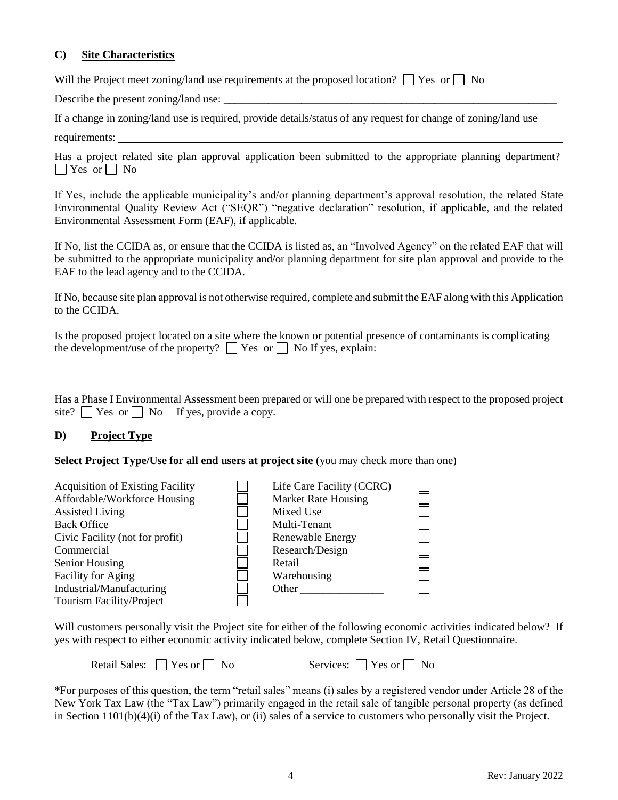## **C) Site Characteristics**

Will the Project meet zoning/land use requirements at the proposed location?  $\Box$  Yes or  $\Box$  No

Describe the present zoning/land use:

If a change in zoning/land use is required, provide details/status of any request for change of zoning/land use requirements:

Has a project related site plan approval application been submitted to the appropriate planning department?  $\Box$  Yes or  $\Box$  No

If Yes, include the applicable municipality's and/or planning department's approval resolution, the related State Environmental Quality Review Act ("SEQR") "negative declaration" resolution, if applicable, and the related Environmental Assessment Form (EAF), if applicable.

If No, list the CCIDA as, or ensure that the CCIDA is listed as, an "Involved Agency" on the related EAF that will be submitted to the appropriate municipality and/or planning department for site plan approval and provide to the EAF to the lead agency and to the CCIDA.

If No, because site plan approval is not otherwise required, complete and submit the EAF along with this Application to the CCIDA.

Is the proposed project located on a site where the known or potential presence of contaminants is complicating the development/use of the property?  $\Box$  Yes or  $\Box$  No If yes, explain:

Has a Phase I Environmental Assessment been prepared or will one be prepared with respect to the proposed project site?  $\Box$  Yes or  $\Box$  No If yes, provide a copy.

## **D) Project Type**

**Select Project Type/Use for all end users at project site** (you may check more than one)

| <b>Acquisition of Existing Facility</b> | Life Care Facility (CCRC)  |  |
|-----------------------------------------|----------------------------|--|
| Affordable/Workforce Housing            | <b>Market Rate Housing</b> |  |
| <b>Assisted Living</b>                  | Mixed Use                  |  |
| <b>Back Office</b>                      | Multi-Tenant               |  |
| Civic Facility (not for profit)         | Renewable Energy           |  |
| Commercial                              | Research/Design            |  |
| Senior Housing                          | Retail                     |  |
| <b>Facility for Aging</b>               | Warehousing                |  |
| Industrial/Manufacturing                | Other                      |  |
| <b>Tourism Facility/Project</b>         |                            |  |

Will customers personally visit the Project site for either of the following economic activities indicated below? If yes with respect to either economic activity indicated below, complete Section IV, Retail Questionnaire.

Retail Sales:  $\Box$  Yes or  $\Box$  No Services:  $\Box$  Yes or  $\Box$  No

\*For purposes of this question, the term "retail sales" means (i) sales by a registered vendor under Article 28 of the New York Tax Law (the "Tax Law") primarily engaged in the retail sale of tangible personal property (as defined in Section 1101(b)(4)(i) of the Tax Law), or (ii) sales of a service to customers who personally visit the Project.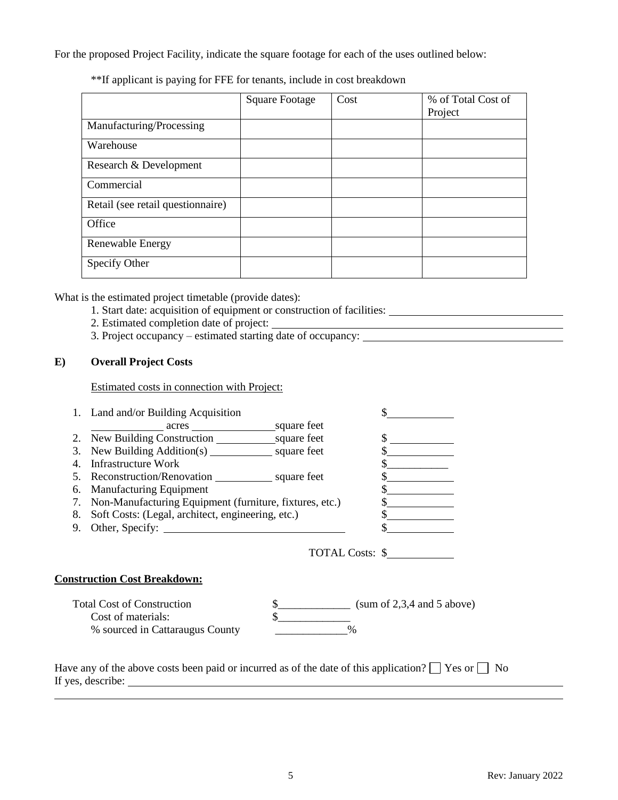For the proposed Project Facility, indicate the square footage for each of the uses outlined below:

| **If applicant is paying for FFE for tenants, include in cost breakdown |  |
|-------------------------------------------------------------------------|--|
|-------------------------------------------------------------------------|--|

|                                   | <b>Square Footage</b> | Cost | % of Total Cost of<br>Project |
|-----------------------------------|-----------------------|------|-------------------------------|
| Manufacturing/Processing          |                       |      |                               |
| Warehouse                         |                       |      |                               |
| Research & Development            |                       |      |                               |
| Commercial                        |                       |      |                               |
| Retail (see retail questionnaire) |                       |      |                               |
| Office                            |                       |      |                               |
| Renewable Energy                  |                       |      |                               |
| Specify Other                     |                       |      |                               |

What is the estimated project timetable (provide dates):

- 1. Start date: acquisition of equipment or construction of facilities:
- 2. Estimated completion date of project:
- 3. Project occupancy estimated starting date of occupancy:

# **E) Overall Project Costs**

Estimated costs in connection with Project:

|    | 1. Land and/or Building Acquisition                          |                                                        |
|----|--------------------------------------------------------------|--------------------------------------------------------|
|    |                                                              |                                                        |
|    | 2. New Building Construction square feet                     |                                                        |
| 3. |                                                              |                                                        |
| 4. | Infrastructure Work                                          |                                                        |
|    | 5. Reconstruction/Renovation ___________________ square feet |                                                        |
| 6. | <b>Manufacturing Equipment</b>                               |                                                        |
|    | 7. Non-Manufacturing Equipment (furniture, fixtures, etc.)   |                                                        |
|    | 8. Soft Costs: (Legal, architect, engineering, etc.)         |                                                        |
|    |                                                              |                                                        |
|    |                                                              | TOTAL Costs: \$                                        |
|    | <b>Construction Cost Breakdown:</b>                          |                                                        |
|    | <b>Total Cost of Construction</b>                            | $\frac{\text{S}}{\text{S}}$ (sum of 2,3,4 and 5 above) |
|    | Cost of materials:                                           |                                                        |
|    | % sourced in Cattaraugus County                              | $\%$                                                   |
|    |                                                              |                                                        |
|    |                                                              |                                                        |

Have any of the above costs been paid or incurred as of the date of this application?  $\Box$  Yes or  $\Box$  No If yes, describe: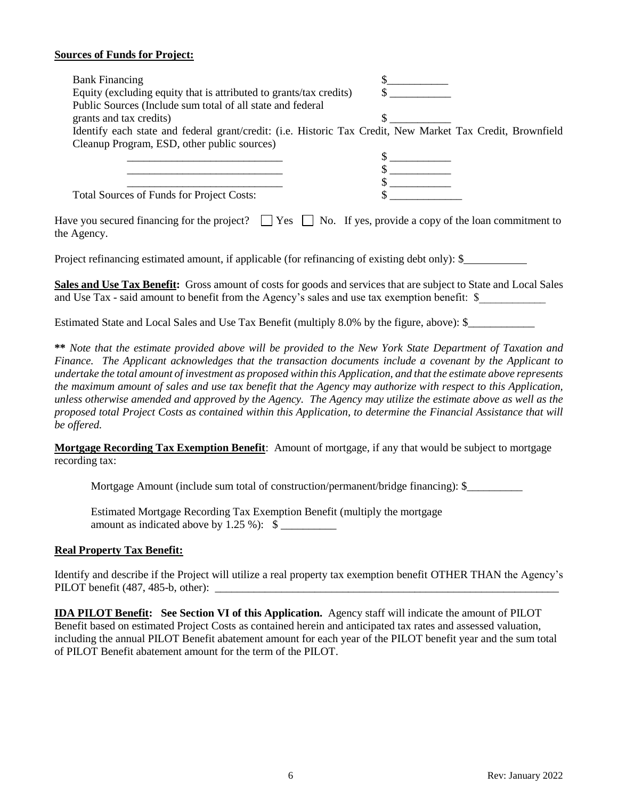### **Sources of Funds for Project:**

| <b>Bank Financing</b>                                                                                                             |  |
|-----------------------------------------------------------------------------------------------------------------------------------|--|
| Equity (excluding equity that is attributed to grants/tax credits)                                                                |  |
| Public Sources (Include sum total of all state and federal                                                                        |  |
| grants and tax credits)                                                                                                           |  |
| Identify each state and federal grant/credit: (i.e. Historic Tax Credit, New Market Tax Credit, Brownfield                        |  |
| Cleanup Program, ESD, other public sources)                                                                                       |  |
|                                                                                                                                   |  |
|                                                                                                                                   |  |
|                                                                                                                                   |  |
| Total Sources of Funds for Project Costs:                                                                                         |  |
| Have you secured financing for the project? $\Box$ Yes $\Box$ No. If yes, provide a copy of the loan commitment to<br>the Agency. |  |
| Project refinancing estimated amount, if applicable (for refinancing of existing debt only): \$                                   |  |
| <b>Sales and Use Tax Benefit:</b> Gross amount of costs for goods and services that are subject to State and Local Sales          |  |

and Use Tax - said amount to benefit from the Agency's sales and use tax exemption benefit: \$

Estimated State and Local Sales and Use Tax Benefit (multiply 8.0% by the figure, above):  $\$ 

**\*\*** *Note that the estimate provided above will be provided to the New York State Department of Taxation and Finance. The Applicant acknowledges that the transaction documents include a covenant by the Applicant to undertake the total amount of investment as proposed within this Application, and that the estimate above represents the maximum amount of sales and use tax benefit that the Agency may authorize with respect to this Application, unless otherwise amended and approved by the Agency. The Agency may utilize the estimate above as well as the proposed total Project Costs as contained within this Application, to determine the Financial Assistance that will be offered.*

**Mortgage Recording Tax Exemption Benefit**: Amount of mortgage, if any that would be subject to mortgage recording tax:

Mortgage Amount (include sum total of construction/permanent/bridge financing): \$\_\_\_\_\_\_\_\_\_\_

Estimated Mortgage Recording Tax Exemption Benefit (multiply the mortgage amount as indicated above by 1.25 %):  $\$ 

## **Real Property Tax Benefit:**

Identify and describe if the Project will utilize a real property tax exemption benefit OTHER THAN the Agency's PILOT benefit  $(487, 485-b, other)$ :

**IDA PILOT Benefit: See Section VI of this Application.** Agency staff will indicate the amount of PILOT Benefit based on estimated Project Costs as contained herein and anticipated tax rates and assessed valuation, including the annual PILOT Benefit abatement amount for each year of the PILOT benefit year and the sum total of PILOT Benefit abatement amount for the term of the PILOT.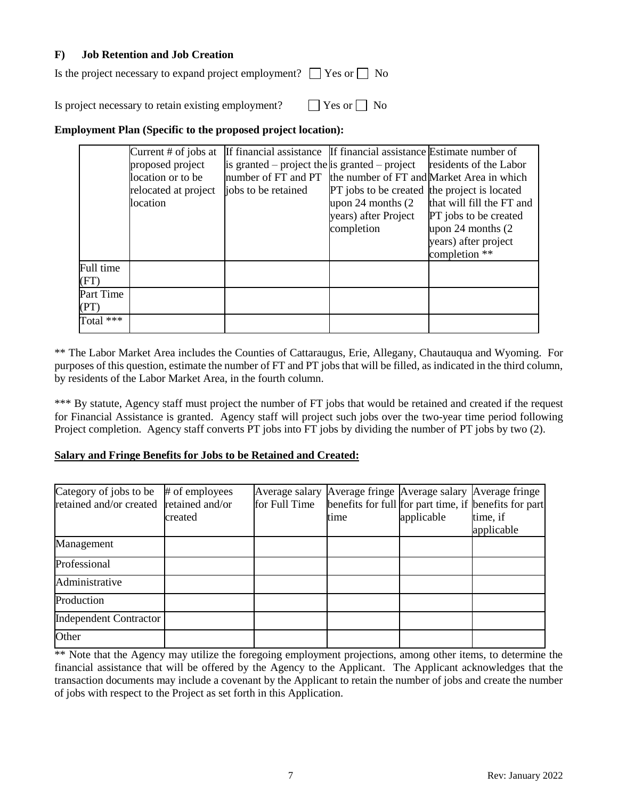## **F) Job Retention and Job Creation**

Is the project necessary to expand project employment?  $\Box$  Yes or  $\Box$  No

Is project necessary to retain existing employment?  $\Box$  Yes or  $\Box$  No

# **Employment Plan (Specific to the proposed project location):**

|                   | Current $#$ of jobs at<br>proposed project<br>location or to be<br>relocated at project<br>location | If financial assistance If financial assistance Estimate number of<br>is granted – project the is granted – project<br>number of FT and PT the number of FT and Market Area in which<br>jobs to be retained | PT jobs to be created the project is located<br>upon 24 months (2)<br>years) after Project<br>completion | residents of the Labor<br>that will fill the FT and<br>PT jobs to be created<br>upon 24 months (2)<br>years) after project<br>completion ** |
|-------------------|-----------------------------------------------------------------------------------------------------|-------------------------------------------------------------------------------------------------------------------------------------------------------------------------------------------------------------|----------------------------------------------------------------------------------------------------------|---------------------------------------------------------------------------------------------------------------------------------------------|
| Full time<br>(FT) |                                                                                                     |                                                                                                                                                                                                             |                                                                                                          |                                                                                                                                             |
| Part Time<br>(PT) |                                                                                                     |                                                                                                                                                                                                             |                                                                                                          |                                                                                                                                             |
| Total $***$       |                                                                                                     |                                                                                                                                                                                                             |                                                                                                          |                                                                                                                                             |

\*\* The Labor Market Area includes the Counties of Cattaraugus, Erie, Allegany, Chautauqua and Wyoming. For purposes of this question, estimate the number of FT and PT jobs that will be filled, as indicated in the third column, by residents of the Labor Market Area, in the fourth column.

\*\*\* By statute, Agency staff must project the number of FT jobs that would be retained and created if the request for Financial Assistance is granted. Agency staff will project such jobs over the two-year time period following Project completion. Agency staff converts PT jobs into FT jobs by dividing the number of PT jobs by two (2).

## **Salary and Fringe Benefits for Jobs to be Retained and Created:**

| Category of jobs to be<br>retained and/or created retained and/or | # of employees<br>created | for Full Time | Average salary Average fringe Average salary Average fringe<br>time | applicable | benefits for full for part time, if benefits for part<br>time, if<br>applicable |
|-------------------------------------------------------------------|---------------------------|---------------|---------------------------------------------------------------------|------------|---------------------------------------------------------------------------------|
| Management                                                        |                           |               |                                                                     |            |                                                                                 |
| Professional                                                      |                           |               |                                                                     |            |                                                                                 |
| Administrative                                                    |                           |               |                                                                     |            |                                                                                 |
| Production                                                        |                           |               |                                                                     |            |                                                                                 |
| <b>Independent Contractor</b>                                     |                           |               |                                                                     |            |                                                                                 |
| Other                                                             |                           |               |                                                                     |            |                                                                                 |

\*\* Note that the Agency may utilize the foregoing employment projections, among other items, to determine the financial assistance that will be offered by the Agency to the Applicant. The Applicant acknowledges that the transaction documents may include a covenant by the Applicant to retain the number of jobs and create the number of jobs with respect to the Project as set forth in this Application.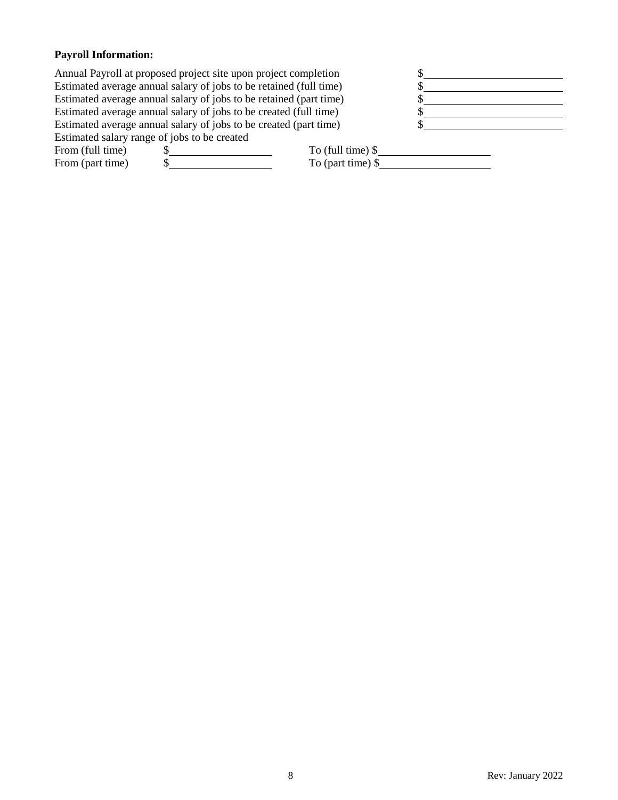# **Payroll Information:**

|                                                                    | Annual Payroll at proposed project site upon project completion    |                    |  |
|--------------------------------------------------------------------|--------------------------------------------------------------------|--------------------|--|
| Estimated average annual salary of jobs to be retained (full time) |                                                                    |                    |  |
|                                                                    | Estimated average annual salary of jobs to be retained (part time) |                    |  |
|                                                                    | Estimated average annual salary of jobs to be created (full time)  |                    |  |
|                                                                    | Estimated average annual salary of jobs to be created (part time)  |                    |  |
| Estimated salary range of jobs to be created                       |                                                                    |                    |  |
| From (full time)                                                   |                                                                    | To (full time) $\$ |  |
| From (part time)                                                   |                                                                    | To (part time) $\$ |  |
|                                                                    |                                                                    |                    |  |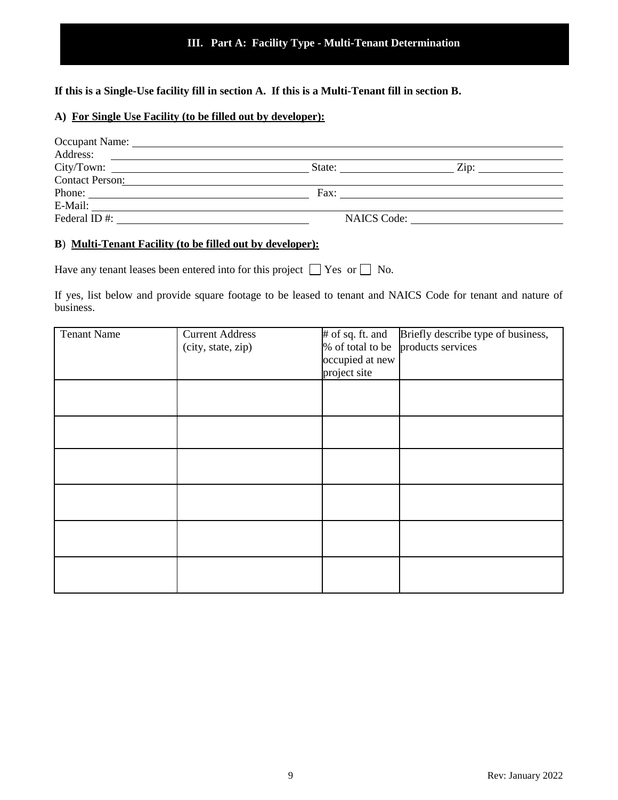**If this is a Single-Use facility fill in section A. If this is a Multi-Tenant fill in section B.**

## **A) For Single Use Facility (to be filled out by developer):**

| Occupant Name: University of the Community of the Community of the Community of the Community of the Community of the Community of the Community of the Community of the Community of the Community of the Community of the Co |                                                                                                                       |                                 |
|--------------------------------------------------------------------------------------------------------------------------------------------------------------------------------------------------------------------------------|-----------------------------------------------------------------------------------------------------------------------|---------------------------------|
| Address:                                                                                                                                                                                                                       | <u> 1980 - Andrea State Barbara, poeta esperanto-</u>                                                                 |                                 |
|                                                                                                                                                                                                                                | State:                                                                                                                | $\mathsf{Zip:}\n \qquad \qquad$ |
| <b>Contact Person:</b>                                                                                                                                                                                                         | <u> 1980 - Jan Sarajević, politički predstavanja i politička predstava i politička predstava i politička predstav</u> |                                 |
| Phone:                                                                                                                                                                                                                         | Fax:                                                                                                                  |                                 |
| E-Mail:                                                                                                                                                                                                                        |                                                                                                                       |                                 |
| Federal ID#:                                                                                                                                                                                                                   |                                                                                                                       | NAICS Code:                     |
|                                                                                                                                                                                                                                |                                                                                                                       |                                 |

#### **B**) **Multi-Tenant Facility (to be filled out by developer):**

Have any tenant leases been entered into for this project  $\Box$  Yes or  $\Box$  No.

If yes, list below and provide square footage to be leased to tenant and NAICS Code for tenant and nature of business.

| <b>Tenant Name</b> | <b>Current Address</b> | # of sq. ft. and | Briefly describe type of business, |
|--------------------|------------------------|------------------|------------------------------------|
|                    | (city, state, zip)     | % of total to be | products services                  |
|                    |                        | occupied at new  |                                    |
|                    |                        | project site     |                                    |
|                    |                        |                  |                                    |
|                    |                        |                  |                                    |
|                    |                        |                  |                                    |
|                    |                        |                  |                                    |
|                    |                        |                  |                                    |
|                    |                        |                  |                                    |
|                    |                        |                  |                                    |
|                    |                        |                  |                                    |
|                    |                        |                  |                                    |
|                    |                        |                  |                                    |
|                    |                        |                  |                                    |
|                    |                        |                  |                                    |
|                    |                        |                  |                                    |
|                    |                        |                  |                                    |
|                    |                        |                  |                                    |
|                    |                        |                  |                                    |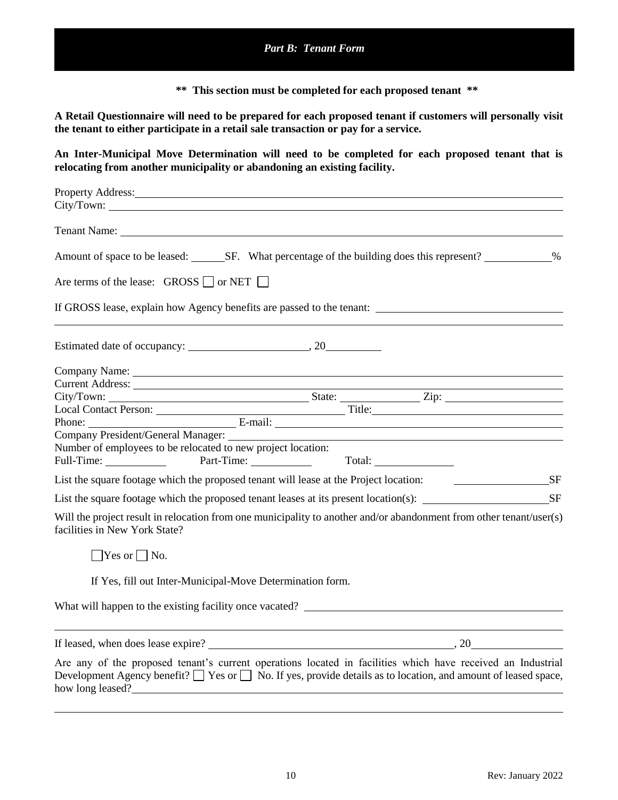**\*\* This section must be completed for each proposed tenant \*\***

**A Retail Questionnaire will need to be prepared for each proposed tenant if customers will personally visit the tenant to either participate in a retail sale transaction or pay for a service.**

**An Inter-Municipal Move Determination will need to be completed for each proposed tenant that is relocating from another municipality or abandoning an existing facility.**

| Property Address:                                                                                                                                                                                                                                           |   |
|-------------------------------------------------------------------------------------------------------------------------------------------------------------------------------------------------------------------------------------------------------------|---|
| City/Town:                                                                                                                                                                                                                                                  |   |
|                                                                                                                                                                                                                                                             |   |
| Amount of space to be leased: SF. What percentage of the building does this represent?                                                                                                                                                                      | % |
| Are terms of the lease: $GROSS \Box$ or NET $\Box$                                                                                                                                                                                                          |   |
| If GROSS lease, explain how Agency benefits are passed to the tenant:                                                                                                                                                                                       |   |
|                                                                                                                                                                                                                                                             |   |
|                                                                                                                                                                                                                                                             |   |
|                                                                                                                                                                                                                                                             |   |
|                                                                                                                                                                                                                                                             |   |
|                                                                                                                                                                                                                                                             |   |
|                                                                                                                                                                                                                                                             |   |
|                                                                                                                                                                                                                                                             |   |
| Number of employees to be relocated to new project location:                                                                                                                                                                                                |   |
| Full-Time: Part-Time: Total:                                                                                                                                                                                                                                |   |
| List the square footage which the proposed tenant will lease at the Project location: SF                                                                                                                                                                    |   |
| List the square footage which the proposed tenant leases at its present location(s): _________________________SF                                                                                                                                            |   |
| Will the project result in relocation from one municipality to another and/or abandonment from other tenant/user(s)<br>facilities in New York State?                                                                                                        |   |
| $\bigcap$ Yes or $\bigcap$ No.                                                                                                                                                                                                                              |   |
| If Yes, fill out Inter-Municipal-Move Determination form.                                                                                                                                                                                                   |   |
| What will happen to the existing facility once vacated?<br>The matter of the existing facility once vacated?                                                                                                                                                |   |
|                                                                                                                                                                                                                                                             |   |
| Are any of the proposed tenant's current operations located in facilities which have received an Industrial<br>Development Agency benefit? $\Box$ Yes or $\Box$ No. If yes, provide details as to location, and amount of leased space,<br>how long leased? |   |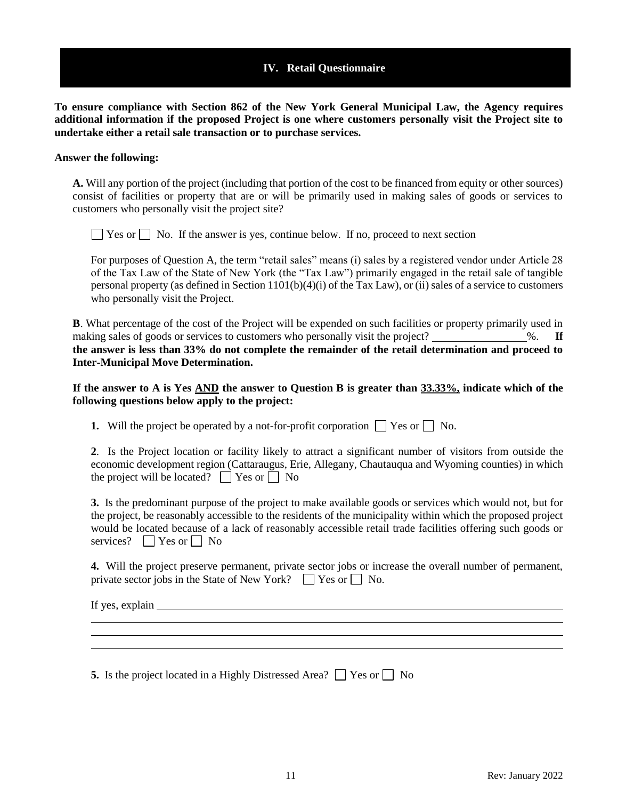## **IV. Retail Questionnaire**

**To ensure compliance with Section 862 of the New York General Municipal Law, the Agency requires additional information if the proposed Project is one where customers personally visit the Project site to undertake either a retail sale transaction or to purchase services.**

#### **Answer the following:**

**A.** Will any portion of the project (including that portion of the cost to be financed from equity or other sources) consist of facilities or property that are or will be primarily used in making sales of goods or services to customers who personally visit the project site?

 $\Box$  Yes or  $\Box$  No. If the answer is yes, continue below. If no, proceed to next section

For purposes of Question A, the term "retail sales" means (i) sales by a registered vendor under Article 28 of the Tax Law of the State of New York (the "Tax Law") primarily engaged in the retail sale of tangible personal property (as defined in Section  $1101(b)(4)(i)$  of the Tax Law), or (ii) sales of a service to customers who personally visit the Project.

**B**. What percentage of the cost of the Project will be expended on such facilities or property primarily used in making sales of goods or services to customers who personally visit the project? \_\_\_\_\_\_\_\_\_\_\_\_\_%. If **the answer is less than 33% do not complete the remainder of the retail determination and proceed to Inter-Municipal Move Determination.**

**If the answer to A is Yes AND the answer to Question B is greater than 33.33%, indicate which of the following questions below apply to the project:**

**1.** Will the project be operated by a not-for-profit corporation  $\Box$  Yes or  $\Box$  No.

|  |  |                                                      |  |  |  | 2. Is the Project location or facility likely to attract a significant number of visitors from outside the |  |  |  |
|--|--|------------------------------------------------------|--|--|--|------------------------------------------------------------------------------------------------------------|--|--|--|
|  |  |                                                      |  |  |  | economic development region (Cattaraugus, Erie, Allegany, Chautauqua and Wyoming counties) in which        |  |  |  |
|  |  | the project will be located? $\Box$ Yes or $\Box$ No |  |  |  |                                                                                                            |  |  |  |

**3.** Is the predominant purpose of the project to make available goods or services which would not, but for the project, be reasonably accessible to the residents of the municipality within which the proposed project would be located because of a lack of reasonably accessible retail trade facilities offering such goods or services?  $\Box$  Yes or  $\Box$  No

**4.** Will the project preserve permanent, private sector jobs or increase the overall number of permanent, private sector jobs in the State of New York?  $\Box$  Yes or  $\Box$  No.

If yes, explain

**5.** Is the project located in a Highly Distressed Area?  $\Box$  Yes or  $\Box$  No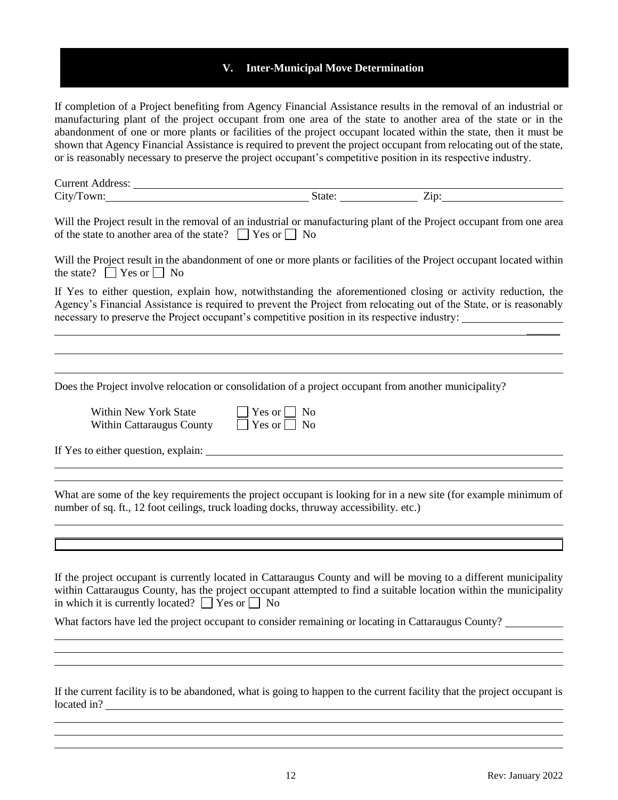## **V. Inter-Municipal Move Determination**

If completion of a Project benefiting from Agency Financial Assistance results in the removal of an industrial or manufacturing plant of the project occupant from one area of the state to another area of the state or in the abandonment of one or more plants or facilities of the project occupant located within the state, then it must be shown that Agency Financial Assistance is required to prevent the project occupant from relocating out of the state, or is reasonably necessary to preserve the project occupant's competitive position in its respective industry.

| ⌒<br>11.44400.424<br>$\sim$ (IGTESS.<br>21 I L<br>◡w. |                 |
|-------------------------------------------------------|-----------------|
| $\sim$<br>.711.<br>◡                                  | —.<br>---<br>-- |

Will the Project result in the removal of an industrial or manufacturing plant of the Project occupant from one area of the state to another area of the state?  $\Box$  Yes or  $\Box$  No

Will the Project result in the abandonment of one or more plants or facilities of the Project occupant located within the state?  $\Box$  Yes or  $\Box$  No

If Yes to either question, explain how, notwithstanding the aforementioned closing or activity reduction, the Agency's Financial Assistance is required to prevent the Project from relocating out of the State, or is reasonably necessary to preserve the Project occupant's competitive position in its respective industry:

Does the Project involve relocation or consolidation of a project occupant from another municipality?

| Within New York State     | $\Box$ Yes or $\Box$ No |
|---------------------------|-------------------------|
| Within Cattaraugus County | $\Box$ Yes or $\Box$ No |

| Yes or $  \cdot  $ | Nc |
|--------------------|----|
| Yes or             | Nc |

If Yes to either question, explain:

What are some of the key requirements the project occupant is looking for in a new site (for example minimum of number of sq. ft., 12 foot ceilings, truck loading docks, thruway accessibility. etc.)

If the project occupant is currently located in Cattaraugus County and will be moving to a different municipality within Cattaraugus County, has the project occupant attempted to find a suitable location within the municipality in which it is currently located?  $\Box$  Yes or  $\Box$  No

What factors have led the project occupant to consider remaining or locating in Cattaraugus County?

If the current facility is to be abandoned, what is going to happen to the current facility that the project occupant is located in?

 $\overline{\phantom{a}}$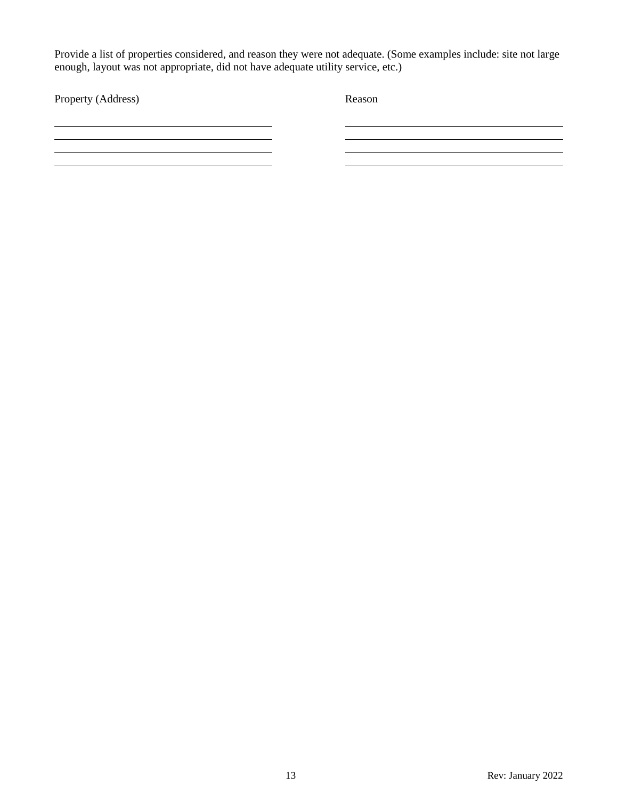Provide a list of properties considered, and reason they were not adequate. (Some examples include: site not large enough, layout was not appropriate, did not have adequate utility service, etc.)

| Property (Address) | Reason |
|--------------------|--------|
|                    |        |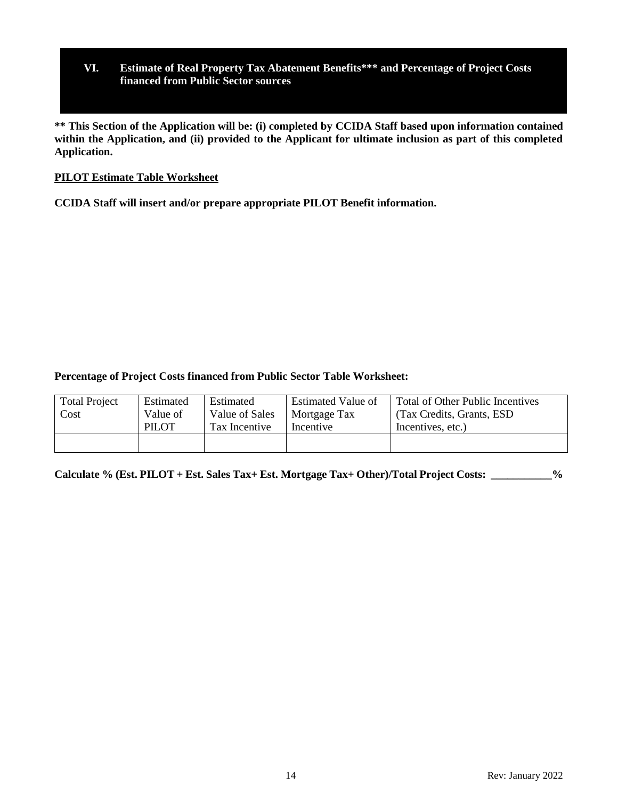# **VI. Estimate of Real Property Tax Abatement Benefits\*\*\* and Percentage of Project Costs financed from Public Sector sources**

**\*\* This Section of the Application will be: (i) completed by CCIDA Staff based upon information contained within the Application, and (ii) provided to the Applicant for ultimate inclusion as part of this completed Application.**

## **PILOT Estimate Table Worksheet**

**CCIDA Staff will insert and/or prepare appropriate PILOT Benefit information.**

## **Percentage of Project Costs financed from Public Sector Table Worksheet:**

| <b>Total Project</b> | Estimated    | Estimated      | <b>Estimated Value of</b> | Total of Other Public Incentives |
|----------------------|--------------|----------------|---------------------------|----------------------------------|
| Cost                 | Value of     | Value of Sales | Mortgage Tax              | (Tax Credits, Grants, ESD)       |
|                      | <b>PILOT</b> | Tax Incentive  | Incentive                 | Incentives, etc.)                |

**Calculate % (Est. PILOT + Est. Sales Tax+ Est. Mortgage Tax+ Other)/Total Project Costs: \_\_\_\_\_\_\_\_\_\_\_%**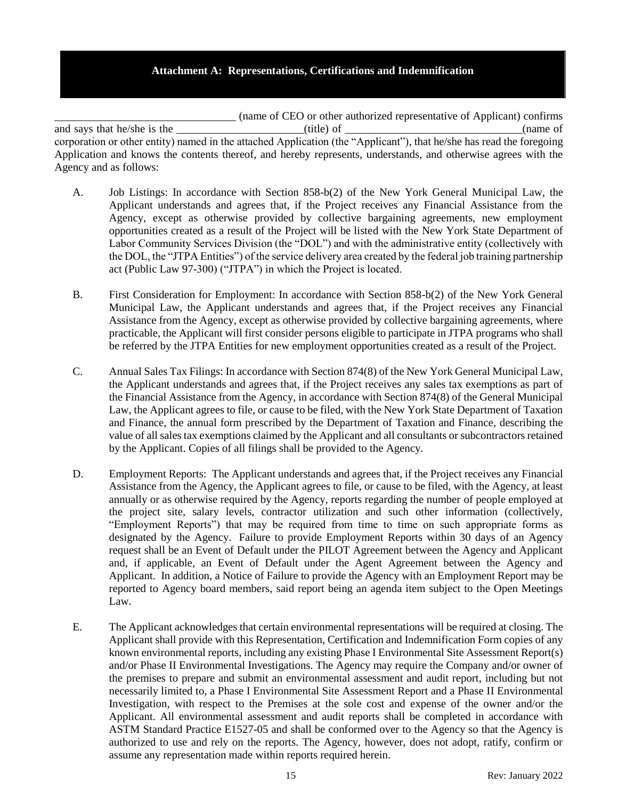#### **Attachment A: Representations, Certifications and Indemnification**

(name of CEO or other authorized representative of Applicant) confirms and says that he/she is the \_\_\_\_\_\_\_\_\_\_\_\_\_\_\_\_\_\_\_\_\_\_\_(title) of \_\_\_\_\_\_\_\_\_\_\_\_\_\_\_\_\_\_\_\_\_\_\_\_\_\_\_\_\_\_\_\_(name of corporation or other entity) named in the attached Application (the "Applicant"), that he/she has read the foregoing Application and knows the contents thereof, and hereby represents, understands, and otherwise agrees with the Agency and as follows:

- A. Job Listings: In accordance with Section 858-b(2) of the New York General Municipal Law, the Applicant understands and agrees that, if the Project receives any Financial Assistance from the Agency, except as otherwise provided by collective bargaining agreements, new employment opportunities created as a result of the Project will be listed with the New York State Department of Labor Community Services Division (the "DOL") and with the administrative entity (collectively with the DOL, the "JTPA Entities") of the service delivery area created by the federal job training partnership act (Public Law 97-300) ("JTPA") in which the Project is located.
- B. First Consideration for Employment: In accordance with Section 858-b(2) of the New York General Municipal Law, the Applicant understands and agrees that, if the Project receives any Financial Assistance from the Agency, except as otherwise provided by collective bargaining agreements, where practicable, the Applicant will first consider persons eligible to participate in JTPA programs who shall be referred by the JTPA Entities for new employment opportunities created as a result of the Project.
- C. Annual Sales Tax Filings: In accordance with Section 874(8) of the New York General Municipal Law, the Applicant understands and agrees that, if the Project receives any sales tax exemptions as part of the Financial Assistance from the Agency, in accordance with Section 874(8) of the General Municipal Law, the Applicant agrees to file, or cause to be filed, with the New York State Department of Taxation and Finance, the annual form prescribed by the Department of Taxation and Finance, describing the value of all sales tax exemptions claimed by the Applicant and all consultants or subcontractors retained by the Applicant. Copies of all filings shall be provided to the Agency.
- D. Employment Reports: The Applicant understands and agrees that, if the Project receives any Financial Assistance from the Agency, the Applicant agrees to file, or cause to be filed, with the Agency, at least annually or as otherwise required by the Agency, reports regarding the number of people employed at the project site, salary levels, contractor utilization and such other information (collectively, "Employment Reports") that may be required from time to time on such appropriate forms as designated by the Agency. Failure to provide Employment Reports within 30 days of an Agency request shall be an Event of Default under the PILOT Agreement between the Agency and Applicant and, if applicable, an Event of Default under the Agent Agreement between the Agency and Applicant. In addition, a Notice of Failure to provide the Agency with an Employment Report may be reported to Agency board members, said report being an agenda item subject to the Open Meetings Law.
- E. The Applicant acknowledges that certain environmental representations will be required at closing. The Applicant shall provide with this Representation, Certification and Indemnification Form copies of any known environmental reports, including any existing Phase I Environmental Site Assessment Report(s) and/or Phase II Environmental Investigations. The Agency may require the Company and/or owner of the premises to prepare and submit an environmental assessment and audit report, including but not necessarily limited to, a Phase I Environmental Site Assessment Report and a Phase II Environmental Investigation, with respect to the Premises at the sole cost and expense of the owner and/or the Applicant. All environmental assessment and audit reports shall be completed in accordance with ASTM Standard Practice E1527-05 and shall be conformed over to the Agency so that the Agency is authorized to use and rely on the reports. The Agency, however, does not adopt, ratify, confirm or assume any representation made within reports required herein.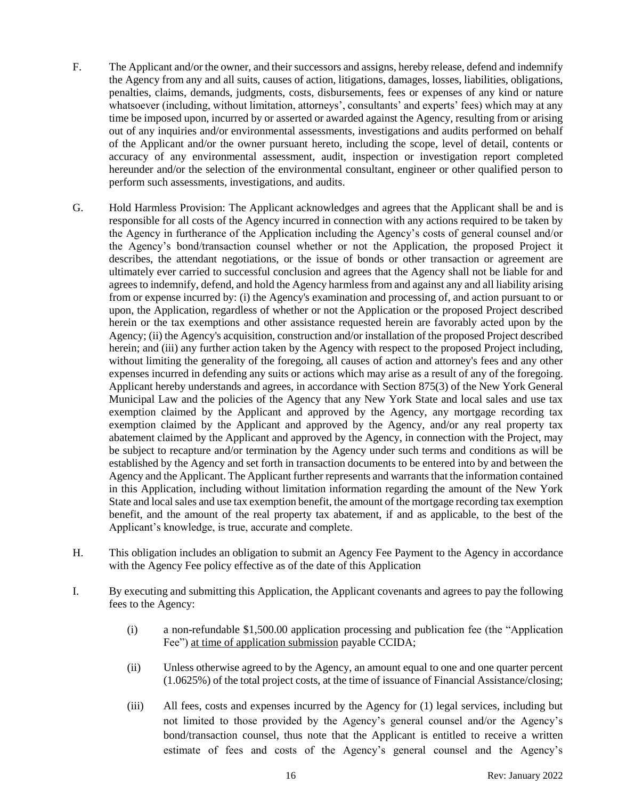- F. The Applicant and/or the owner, and their successors and assigns, hereby release, defend and indemnify the Agency from any and all suits, causes of action, litigations, damages, losses, liabilities, obligations, penalties, claims, demands, judgments, costs, disbursements, fees or expenses of any kind or nature whatsoever (including, without limitation, attorneys', consultants' and experts' fees) which may at any time be imposed upon, incurred by or asserted or awarded against the Agency, resulting from or arising out of any inquiries and/or environmental assessments, investigations and audits performed on behalf of the Applicant and/or the owner pursuant hereto, including the scope, level of detail, contents or accuracy of any environmental assessment, audit, inspection or investigation report completed hereunder and/or the selection of the environmental consultant, engineer or other qualified person to perform such assessments, investigations, and audits.
- G. Hold Harmless Provision: The Applicant acknowledges and agrees that the Applicant shall be and is responsible for all costs of the Agency incurred in connection with any actions required to be taken by the Agency in furtherance of the Application including the Agency's costs of general counsel and/or the Agency's bond/transaction counsel whether or not the Application, the proposed Project it describes, the attendant negotiations, or the issue of bonds or other transaction or agreement are ultimately ever carried to successful conclusion and agrees that the Agency shall not be liable for and agrees to indemnify, defend, and hold the Agency harmless from and against any and all liability arising from or expense incurred by: (i) the Agency's examination and processing of, and action pursuant to or upon, the Application, regardless of whether or not the Application or the proposed Project described herein or the tax exemptions and other assistance requested herein are favorably acted upon by the Agency; (ii) the Agency's acquisition, construction and/or installation of the proposed Project described herein; and (iii) any further action taken by the Agency with respect to the proposed Project including, without limiting the generality of the foregoing, all causes of action and attorney's fees and any other expenses incurred in defending any suits or actions which may arise as a result of any of the foregoing. Applicant hereby understands and agrees, in accordance with Section 875(3) of the New York General Municipal Law and the policies of the Agency that any New York State and local sales and use tax exemption claimed by the Applicant and approved by the Agency, any mortgage recording tax exemption claimed by the Applicant and approved by the Agency, and/or any real property tax abatement claimed by the Applicant and approved by the Agency, in connection with the Project, may be subject to recapture and/or termination by the Agency under such terms and conditions as will be established by the Agency and set forth in transaction documents to be entered into by and between the Agency and the Applicant. The Applicant further represents and warrants that the information contained in this Application, including without limitation information regarding the amount of the New York State and local sales and use tax exemption benefit, the amount of the mortgage recording tax exemption benefit, and the amount of the real property tax abatement, if and as applicable, to the best of the Applicant's knowledge, is true, accurate and complete.
- H. This obligation includes an obligation to submit an Agency Fee Payment to the Agency in accordance with the Agency Fee policy effective as of the date of this Application
- I. By executing and submitting this Application, the Applicant covenants and agrees to pay the following fees to the Agency:
	- (i) a non-refundable \$1,500.00 application processing and publication fee (the "Application Fee") at time of application submission payable CCIDA;
	- (ii) Unless otherwise agreed to by the Agency, an amount equal to one and one quarter percent (1.0625%) of the total project costs, at the time of issuance of Financial Assistance/closing;
	- (iii) All fees, costs and expenses incurred by the Agency for (1) legal services, including but not limited to those provided by the Agency's general counsel and/or the Agency's bond/transaction counsel, thus note that the Applicant is entitled to receive a written estimate of fees and costs of the Agency's general counsel and the Agency's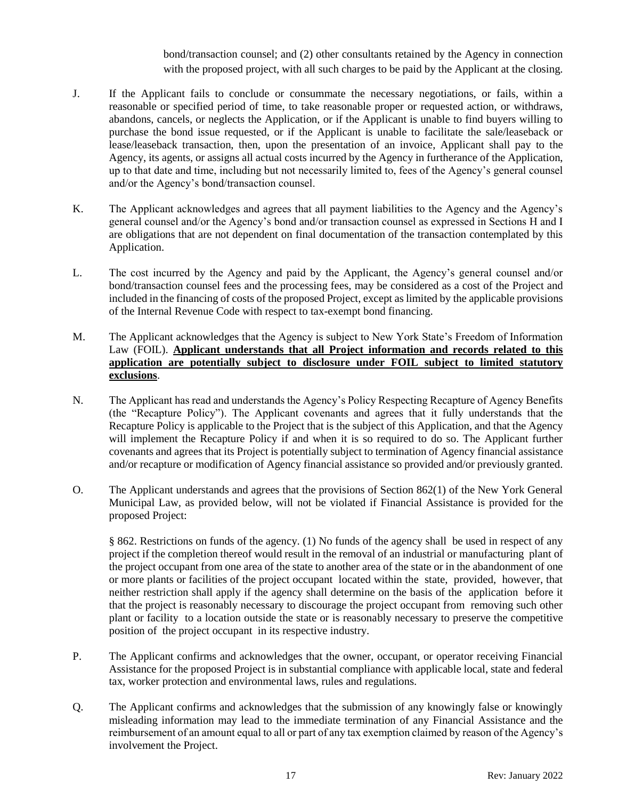bond/transaction counsel; and (2) other consultants retained by the Agency in connection with the proposed project, with all such charges to be paid by the Applicant at the closing.

- J. If the Applicant fails to conclude or consummate the necessary negotiations, or fails, within a reasonable or specified period of time, to take reasonable proper or requested action, or withdraws, abandons, cancels, or neglects the Application, or if the Applicant is unable to find buyers willing to purchase the bond issue requested, or if the Applicant is unable to facilitate the sale/leaseback or lease/leaseback transaction, then, upon the presentation of an invoice, Applicant shall pay to the Agency, its agents, or assigns all actual costs incurred by the Agency in furtherance of the Application, up to that date and time, including but not necessarily limited to, fees of the Agency's general counsel and/or the Agency's bond/transaction counsel.
- K. The Applicant acknowledges and agrees that all payment liabilities to the Agency and the Agency's general counsel and/or the Agency's bond and/or transaction counsel as expressed in Sections H and I are obligations that are not dependent on final documentation of the transaction contemplated by this Application.
- L. The cost incurred by the Agency and paid by the Applicant, the Agency's general counsel and/or bond/transaction counsel fees and the processing fees, may be considered as a cost of the Project and included in the financing of costs of the proposed Project, except as limited by the applicable provisions of the Internal Revenue Code with respect to tax-exempt bond financing.
- M. The Applicant acknowledges that the Agency is subject to New York State's Freedom of Information Law (FOIL). **Applicant understands that all Project information and records related to this application are potentially subject to disclosure under FOIL subject to limited statutory exclusions**.
- N. The Applicant has read and understands the Agency's Policy Respecting Recapture of Agency Benefits (the "Recapture Policy"). The Applicant covenants and agrees that it fully understands that the Recapture Policy is applicable to the Project that is the subject of this Application, and that the Agency will implement the Recapture Policy if and when it is so required to do so. The Applicant further covenants and agrees that its Project is potentially subject to termination of Agency financial assistance and/or recapture or modification of Agency financial assistance so provided and/or previously granted.
- O. The Applicant understands and agrees that the provisions of Section 862(1) of the New York General Municipal Law, as provided below, will not be violated if Financial Assistance is provided for the proposed Project:

§ 862. Restrictions on funds of the agency. (1) No funds of the agency shall be used in respect of any project if the completion thereof would result in the removal of an industrial or manufacturing plant of the project occupant from one area of the state to another area of the state or in the abandonment of one or more plants or facilities of the project occupant located within the state, provided, however, that neither restriction shall apply if the agency shall determine on the basis of the application before it that the project is reasonably necessary to discourage the project occupant from removing such other plant or facility to a location outside the state or is reasonably necessary to preserve the competitive position of the project occupant in its respective industry.

- P. The Applicant confirms and acknowledges that the owner, occupant, or operator receiving Financial Assistance for the proposed Project is in substantial compliance with applicable local, state and federal tax, worker protection and environmental laws, rules and regulations.
- Q. The Applicant confirms and acknowledges that the submission of any knowingly false or knowingly misleading information may lead to the immediate termination of any Financial Assistance and the reimbursement of an amount equal to all or part of any tax exemption claimed by reason of the Agency's involvement the Project.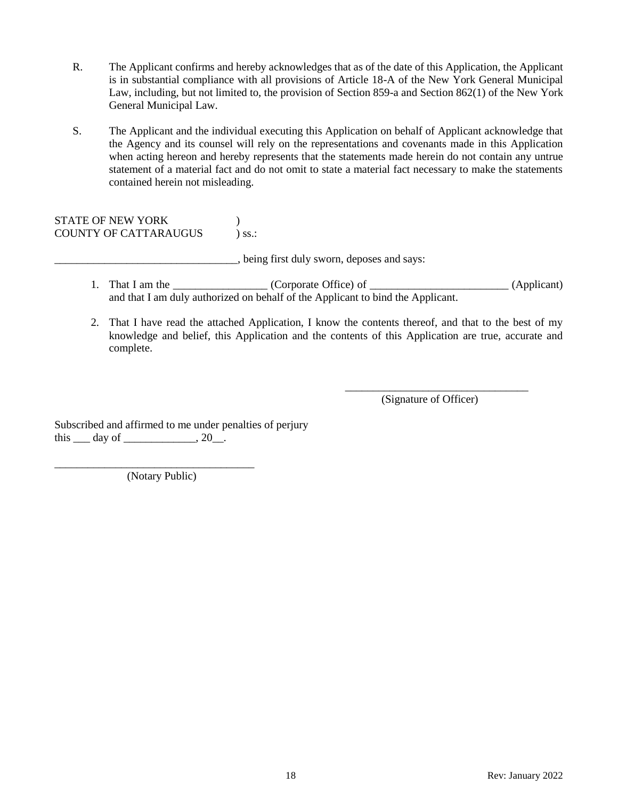- R. The Applicant confirms and hereby acknowledges that as of the date of this Application, the Applicant is in substantial compliance with all provisions of Article 18-A of the New York General Municipal Law, including, but not limited to, the provision of Section 859-a and Section 862(1) of the New York General Municipal Law.
- S. The Applicant and the individual executing this Application on behalf of Applicant acknowledge that the Agency and its counsel will rely on the representations and covenants made in this Application when acting hereon and hereby represents that the statements made herein do not contain any untrue statement of a material fact and do not omit to state a material fact necessary to make the statements contained herein not misleading.

STATE OF NEW YORK (1998) COUNTY OF CATTARAUGUS ) ss.:

\_\_\_\_\_\_\_\_\_\_\_\_\_\_\_\_\_\_\_\_\_\_\_\_\_\_\_\_\_\_\_\_\_, being first duly sworn, deposes and says:

- 1. That I am the \_\_\_\_\_\_\_\_\_\_\_\_\_\_\_ (Corporate Office) of \_\_\_\_\_\_\_\_\_\_\_\_\_\_\_\_\_\_\_\_ (Applicant) and that I am duly authorized on behalf of the Applicant to bind the Applicant.
- 2. That I have read the attached Application, I know the contents thereof, and that to the best of my knowledge and belief, this Application and the contents of this Application are true, accurate and complete.

\_\_\_\_\_\_\_\_\_\_\_\_\_\_\_\_\_\_\_\_\_\_\_\_\_\_\_\_\_\_\_\_\_ (Signature of Officer)

Subscribed and affirmed to me under penalties of perjury this  $\rule{1em}{0.15mm}$  day of  $\rule{1em}{0.15mm}$   $\qquad$   $\qquad$   $\qquad$   $\qquad$   $\qquad$   $\qquad$   $\qquad$   $\qquad$   $\qquad$   $\qquad$   $\qquad$   $\qquad$   $\qquad$   $\qquad$   $\qquad$   $\qquad$   $\qquad$   $\qquad$   $\qquad$   $\qquad$   $\qquad$   $\qquad$   $\qquad$   $\qquad$   $\qquad$   $\qquad$   $\qquad$   $\qquad$   $\qquad$   $\qquad$ 

\_\_\_\_\_\_\_\_\_\_\_\_\_\_\_\_\_\_\_\_\_\_\_\_\_\_\_\_\_\_\_\_\_\_\_\_ (Notary Public)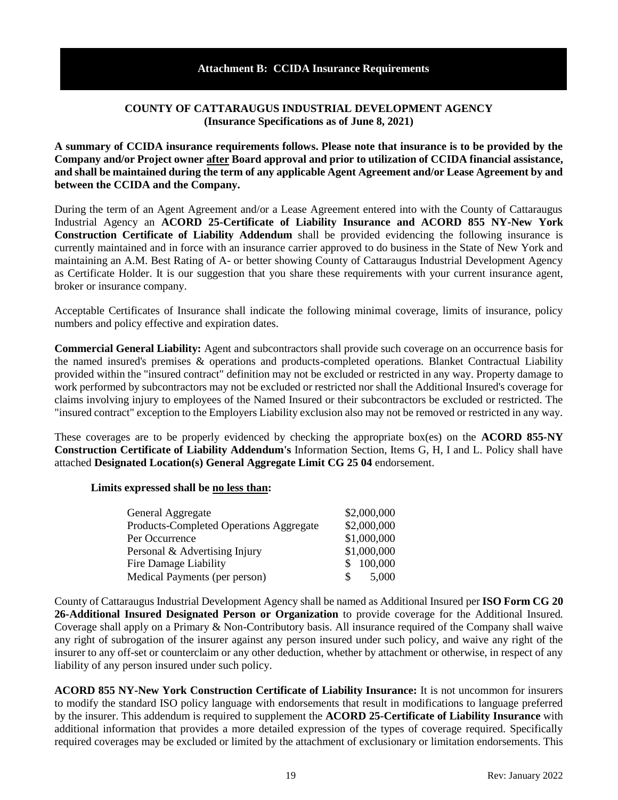### **Attachment B: CCIDA Insurance Requirements**

### **COUNTY OF CATTARAUGUS INDUSTRIAL DEVELOPMENT AGENCY (Insurance Specifications as of June 8, 2021)**

**A summary of CCIDA insurance requirements follows. Please note that insurance is to be provided by the Company and/or Project owner after Board approval and prior to utilization of CCIDA financial assistance, and shall be maintained during the term of any applicable Agent Agreement and/or Lease Agreement by and between the CCIDA and the Company.**

During the term of an Agent Agreement and/or a Lease Agreement entered into with the County of Cattaraugus Industrial Agency an **ACORD 25-Certificate of Liability Insurance and ACORD 855 NY-New York Construction Certificate of Liability Addendum** shall be provided evidencing the following insurance is currently maintained and in force with an insurance carrier approved to do business in the State of New York and maintaining an A.M. Best Rating of A- or better showing County of Cattaraugus Industrial Development Agency as Certificate Holder. It is our suggestion that you share these requirements with your current insurance agent, broker or insurance company.

Acceptable Certificates of Insurance shall indicate the following minimal coverage, limits of insurance, policy numbers and policy effective and expiration dates.

**Commercial General Liability:** Agent and subcontractors shall provide such coverage on an occurrence basis for the named insured's premises & operations and products-completed operations. Blanket Contractual Liability provided within the "insured contract" definition may not be excluded or restricted in any way. Property damage to work performed by subcontractors may not be excluded or restricted nor shall the Additional Insured's coverage for claims involving injury to employees of the Named Insured or their subcontractors be excluded or restricted. The "insured contract" exception to the Employers Liability exclusion also may not be removed or restricted in any way.

These coverages are to be properly evidenced by checking the appropriate box(es) on the **ACORD 855-NY Construction Certificate of Liability Addendum's** Information Section, Items G, H, I and L. Policy shall have attached **Designated Location(s) General Aggregate Limit CG 25 04** endorsement.

#### **Limits expressed shall be no less than:**

| General Aggregate                              |     | \$2,000,000 |
|------------------------------------------------|-----|-------------|
| <b>Products-Completed Operations Aggregate</b> |     | \$2,000,000 |
| Per Occurrence                                 |     | \$1,000,000 |
| Personal & Advertising Injury                  |     | \$1,000,000 |
| <b>Fire Damage Liability</b>                   |     | \$100,000   |
| Medical Payments (per person)                  | SS. | 5,000       |

County of Cattaraugus Industrial Development Agency shall be named as Additional Insured per **ISO Form CG 20 26-Additional Insured Designated Person or Organization** to provide coverage for the Additional Insured. Coverage shall apply on a Primary & Non-Contributory basis. All insurance required of the Company shall waive any right of subrogation of the insurer against any person insured under such policy, and waive any right of the insurer to any off-set or counterclaim or any other deduction, whether by attachment or otherwise, in respect of any liability of any person insured under such policy.

**ACORD 855 NY-New York Construction Certificate of Liability Insurance:** It is not uncommon for insurers to modify the standard ISO policy language with endorsements that result in modifications to language preferred by the insurer. This addendum is required to supplement the **ACORD 25-Certificate of Liability Insurance** with additional information that provides a more detailed expression of the types of coverage required. Specifically required coverages may be excluded or limited by the attachment of exclusionary or limitation endorsements. This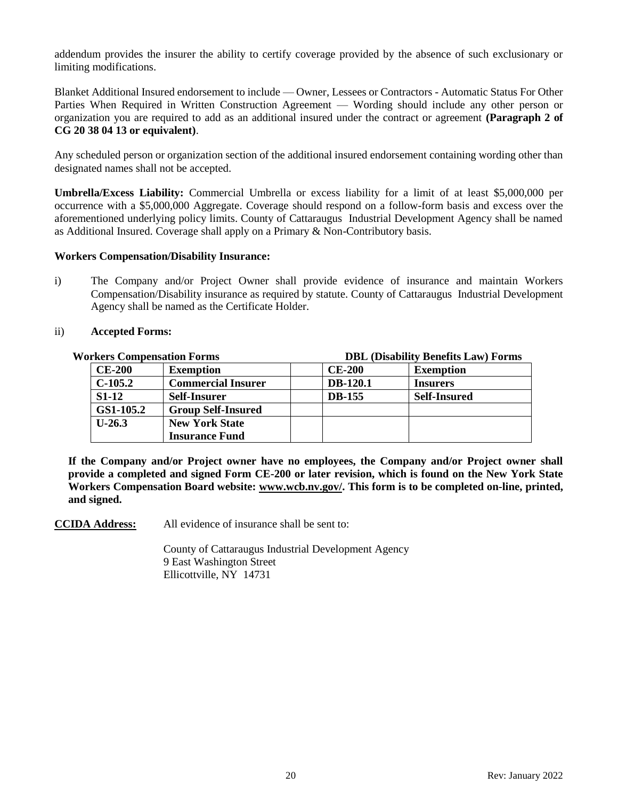addendum provides the insurer the ability to certify coverage provided by the absence of such exclusionary or limiting modifications.

Blanket Additional Insured endorsement to include — Owner, Lessees or Contractors - Automatic Status For Other Parties When Required in Written Construction Agreement — Wording should include any other person or organization you are required to add as an additional insured under the contract or agreement **(Paragraph 2 of CG 20 38 04 13 or equivalent)**.

Any scheduled person or organization section of the additional insured endorsement containing wording other than designated names shall not be accepted.

**Umbrella/Excess Liability:** Commercial Umbrella or excess liability for a limit of at least \$5,000,000 per occurrence with a \$5,000,000 Aggregate. Coverage should respond on a follow-form basis and excess over the aforementioned underlying policy limits. County of Cattaraugus Industrial Development Agency shall be named as Additional Insured. Coverage shall apply on a Primary & Non-Contributory basis.

#### **Workers Compensation/Disability Insurance:**

i) The Company and/or Project Owner shall provide evidence of insurance and maintain Workers Compensation/Disability insurance as required by statute. County of Cattaraugus Industrial Development Agency shall be named as the Certificate Holder.

#### ii) **Accepted Forms:**

| <b>Workers Compensation Forms</b> |                           | <b>DBL</b> (Disability Benefits Law) Forms |                     |  |  |
|-----------------------------------|---------------------------|--------------------------------------------|---------------------|--|--|
| <b>CE-200</b>                     | <b>Exemption</b>          | <b>CE-200</b>                              | <b>Exemption</b>    |  |  |
| $C-105.2$                         | <b>Commercial Insurer</b> | <b>DB-120.1</b>                            | <b>Insurers</b>     |  |  |
| $S1-12$                           | <b>Self-Insurer</b>       | <b>DB-155</b>                              | <b>Self-Insured</b> |  |  |
| GS1-105.2                         | <b>Group Self-Insured</b> |                                            |                     |  |  |
| $U-26.3$                          | <b>New York State</b>     |                                            |                     |  |  |
|                                   | <b>Insurance Fund</b>     |                                            |                     |  |  |

**If the Company and/or Project owner have no employees, the Company and/or Project owner shall provide a completed and signed Form CE-200 or later revision, which is found on the New York State Workers Compensation Board website: www.wcb.nv.gov/. This form is to be completed on-line, printed, and signed.**

**CCIDA Address:** All evidence of insurance shall be sent to:

County of Cattaraugus Industrial Development Agency 9 East Washington Street Ellicottville, NY 14731